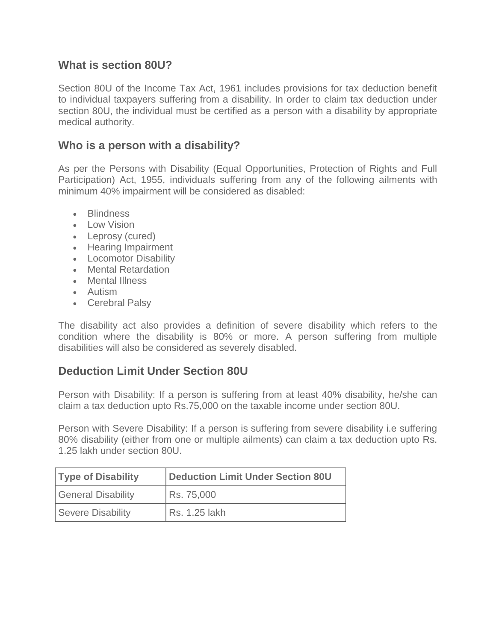## **What is section 80U?**

Section 80U of the Income Tax Act, 1961 includes provisions for tax deduction benefit to individual taxpayers suffering from a disability. In order to claim tax deduction under section 80U, the individual must be certified as a person with a disability by appropriate medical authority.

## **Who is a person with a disability?**

As per the Persons with Disability (Equal Opportunities, Protection of Rights and Full Participation) Act, 1955, individuals suffering from any of the following ailments with minimum 40% impairment will be considered as disabled:

- Blindness
- Low Vision
- Leprosy (cured)
- Hearing Impairment
- Locomotor Disability
- Mental Retardation
- Mental Illness
- Autism
- Cerebral Palsy

The disability act also provides a definition of severe disability which refers to the condition where the disability is 80% or more. A person suffering from multiple disabilities will also be considered as severely disabled.

# **Deduction Limit Under Section 80U**

Person with Disability: If a person is suffering from at least 40% disability, he/she can claim a tax deduction upto Rs.75,000 on the taxable income under section 80U.

Person with Severe Disability: If a person is suffering from severe disability i.e suffering 80% disability (either from one or multiple ailments) can claim a tax deduction upto Rs. 1.25 lakh under section 80U.

| <b>Type of Disability</b> | Deduction Limit Under Section 80U |
|---------------------------|-----------------------------------|
| <b>General Disability</b> | Rs. 75,000                        |
| <b>Severe Disability</b>  | Rs. 1.25 lakh                     |